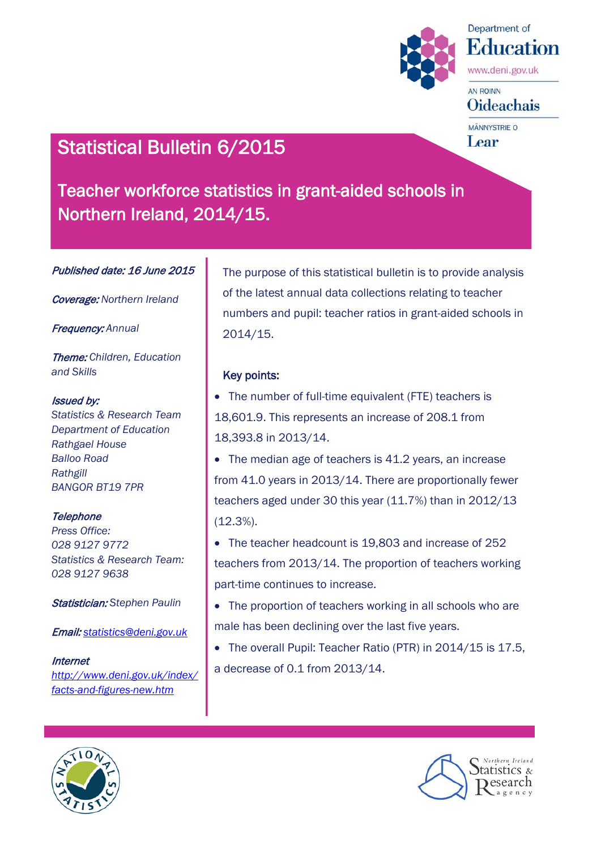



www.deni.gov.uk

# **AN ROINN Oideachais**

MÄNNYSTRIE O Lear

# Statistical Bulletin 6/2015

Teacher workforce statistics in grant-aided schools in Northern Ireland, 2014/15.

Published date: 16 June 2015

Coverage: *Northern Ireland*

Frequency: *Annual*

Theme: *Children, Education and Skills*

#### Issued by:

*Statistics & Research Team Department of Education Rathgael House Balloo Road Rathgill BANGOR BT19 7PR*

## **Telephone**

*Press Office: 028 9127 9772 Statistics & Research Team: 028 9127 9638*

Statistician: *Stephen Paulin*

Email: *[statistics@deni.gov.uk](mailto:statistics@deni.gov.uk)*

Internet *[http://www.deni.gov.uk/index/](http://www.deni.gov.uk/index/facts-and-figures-new.htm) [facts-and-figures-new.htm](http://www.deni.gov.uk/index/facts-and-figures-new.htm)*

The purpose of this statistical bulletin is to provide analysis of the latest annual data collections relating to teacher numbers and pupil: teacher ratios in grant-aided schools in 2014/15.

# Key points:

- The number of full-time equivalent (FTE) teachers is 18,601.9. This represents an increase of 208.1 from 18,393.8 in 2013/14.
- The median age of teachers is 41.2 years, an increase from 41.0 years in 2013/14. There are proportionally fewer teachers aged under 30 this year (11.7%) than in 2012/13 (12.3%).
- The teacher headcount is 19,803 and increase of 252 teachers from 2013/14. The proportion of teachers working part-time continues to increase.
- The proportion of teachers working in all schools who are male has been declining over the last five years.
- The overall Pupil: Teacher Ratio (PTR) in 2014/15 is 17.5, a decrease of 0.1 from 2013/14.



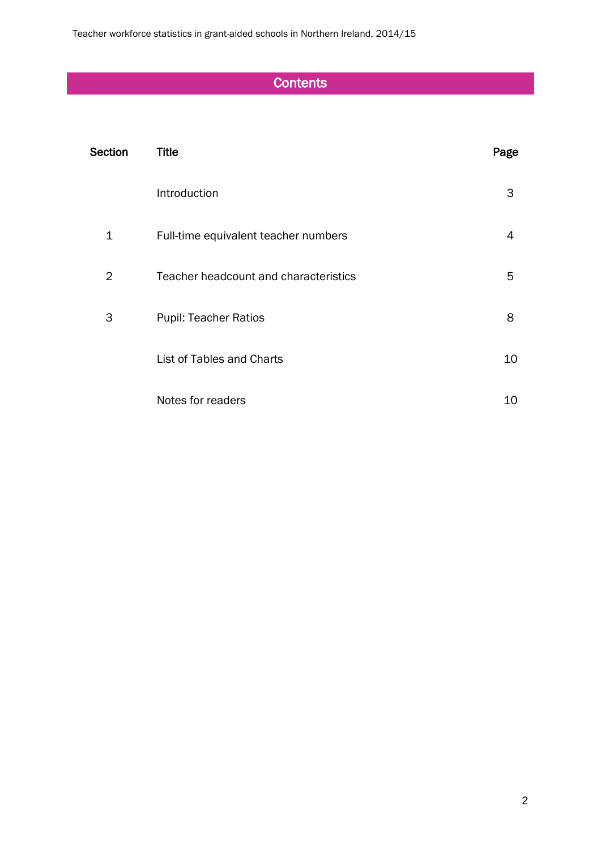# **Contents**

| Section | <b>Title</b>                          | Page |
|---------|---------------------------------------|------|
|         | Introduction                          | 3    |
| 1       | Full-time equivalent teacher numbers  | 4    |
| 2       | Teacher headcount and characteristics | 5    |
| 3       | Pupil: Teacher Ratios                 | 8    |
|         | List of Tables and Charts             | 10   |
|         | Notes for readers                     | 10   |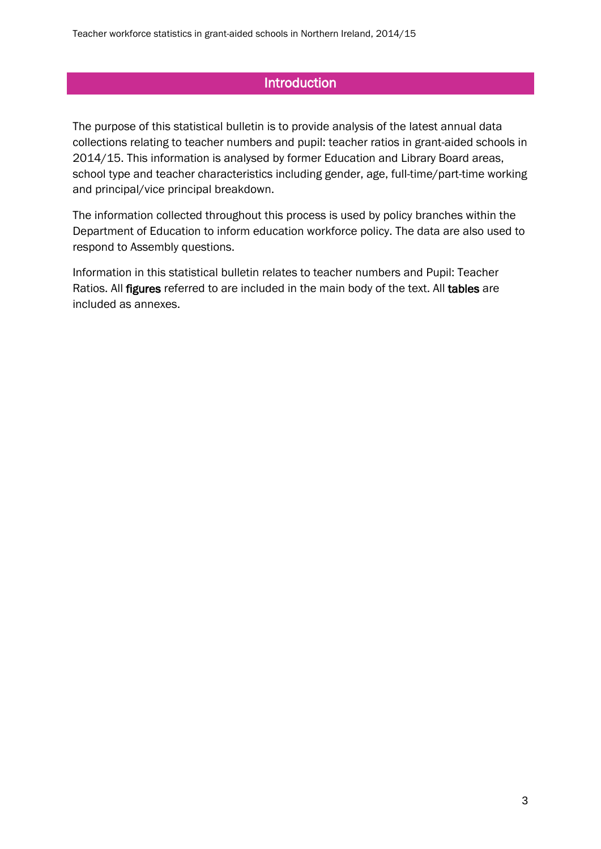# **Introduction**

The purpose of this statistical bulletin is to provide analysis of the latest annual data collections relating to teacher numbers and pupil: teacher ratios in grant-aided schools in 2014/15. This information is analysed by former Education and Library Board areas, school type and teacher characteristics including gender, age, full-time/part-time working and principal/vice principal breakdown.

The information collected throughout this process is used by policy branches within the Department of Education to inform education workforce policy. The data are also used to respond to Assembly questions.

Information in this statistical bulletin relates to teacher numbers and Pupil: Teacher Ratios. All figures referred to are included in the main body of the text. All tables are included as annexes.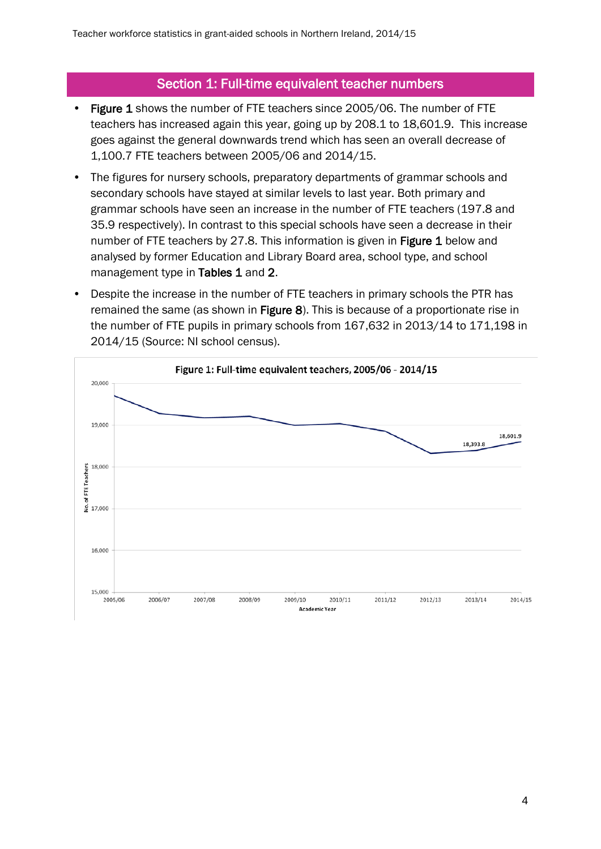# Section 1: Full-time equivalent teacher numbers

- Figure 1 shows the number of FTE teachers since 2005/06. The number of FTE teachers has increased again this year, going up by 208.1 to 18,601.9. This increase goes against the general downwards trend which has seen an overall decrease of 1,100.7 FTE teachers between 2005/06 and 2014/15.
- The figures for nursery schools, preparatory departments of grammar schools and secondary schools have stayed at similar levels to last year. Both primary and grammar schools have seen an increase in the number of FTE teachers (197.8 and 35.9 respectively). In contrast to this special schools have seen a decrease in their number of FTE teachers by 27.8. This information is given in Figure 1 below and analysed by former Education and Library Board area, school type, and school management type in Tables 1 and 2.
- Despite the increase in the number of FTE teachers in primary schools the PTR has remained the same (as shown in Figure 8). This is because of a proportionate rise in the number of FTE pupils in primary schools from 167,632 in 2013/14 to 171,198 in 2014/15 (Source: NI school census).

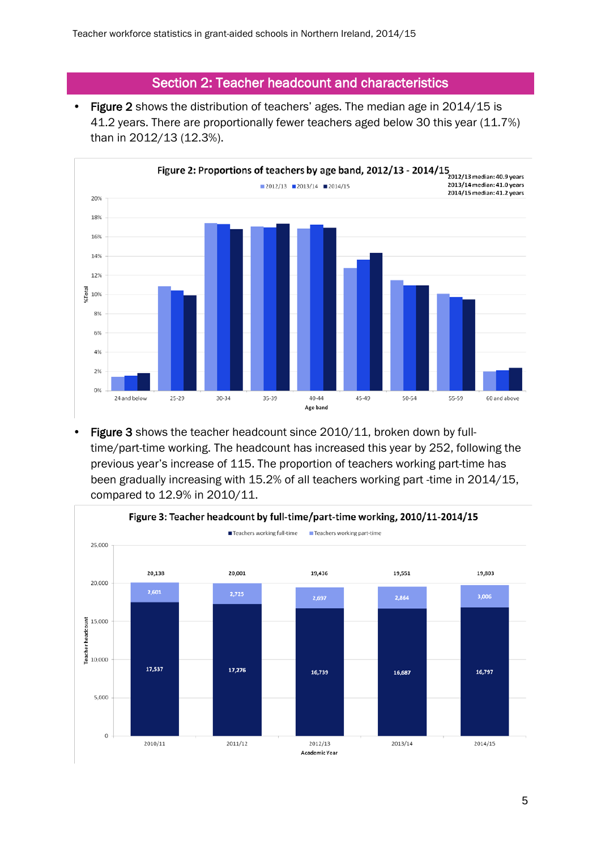# Section 2: Teacher headcount and characteristics

• Figure 2 shows the distribution of teachers' ages. The median age in 2014/15 is 41.2 years. There are proportionally fewer teachers aged below 30 this year (11.7%) than in 2012/13 (12.3%).



• Figure 3 shows the teacher headcount since 2010/11, broken down by fulltime/part-time working. The headcount has increased this year by 252, following the previous year's increase of 115. The proportion of teachers working part-time has been gradually increasing with 15.2% of all teachers working part -time in 2014/15, compared to 12.9% in 2010/11.

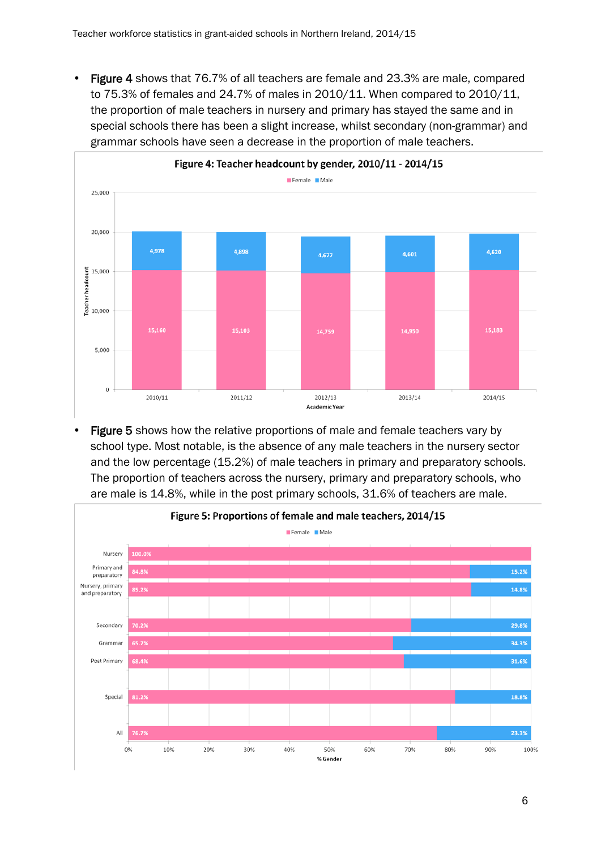• Figure 4 shows that 76.7% of all teachers are female and 23.3% are male, compared to 75.3% of females and 24.7% of males in 2010/11. When compared to 2010/11, the proportion of male teachers in nursery and primary has stayed the same and in special schools there has been a slight increase, whilst secondary (non-grammar) and grammar schools have seen a decrease in the proportion of male teachers.



Figure 5 shows how the relative proportions of male and female teachers vary by school type. Most notable, is the absence of any male teachers in the nursery sector and the low percentage (15.2%) of male teachers in primary and preparatory schools. The proportion of teachers across the nursery, primary and preparatory schools, who are male is 14.8%, while in the post primary schools, 31.6% of teachers are male.

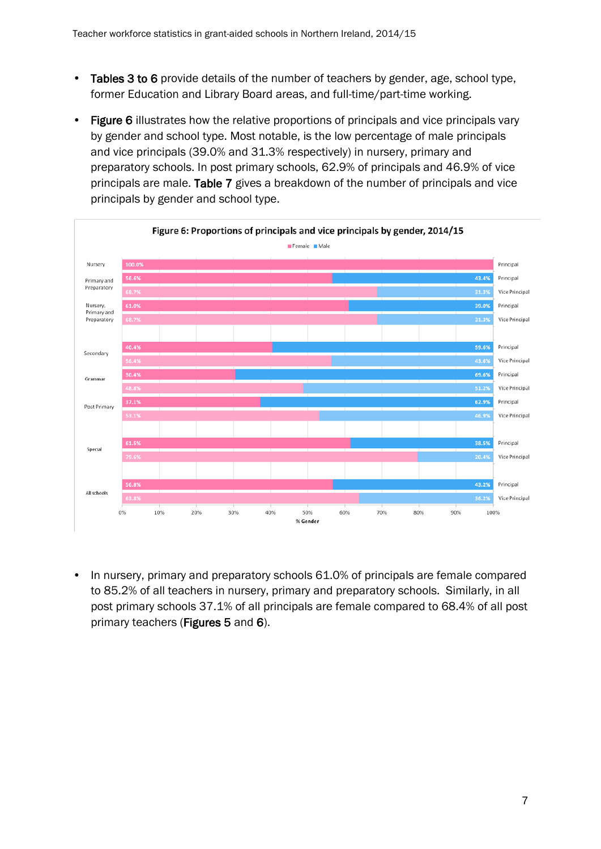- Tables 3 to 6 provide details of the number of teachers by gender, age, school type, former Education and Library Board areas, and full-time/part-time working.
- Figure 6 illustrates how the relative proportions of principals and vice principals vary by gender and school type. Most notable, is the low percentage of male principals and vice principals (39.0% and 31.3% respectively) in nursery, primary and preparatory schools. In post primary schools, 62.9% of principals and 46.9% of vice principals are male. Table 7 gives a breakdown of the number of principals and vice principals by gender and school type.



• In nursery, primary and preparatory schools 61.0% of principals are female compared to 85.2% of all teachers in nursery, primary and preparatory schools. Similarly, in all post primary schools 37.1% of all principals are female compared to 68.4% of all post primary teachers (Figures 5 and 6).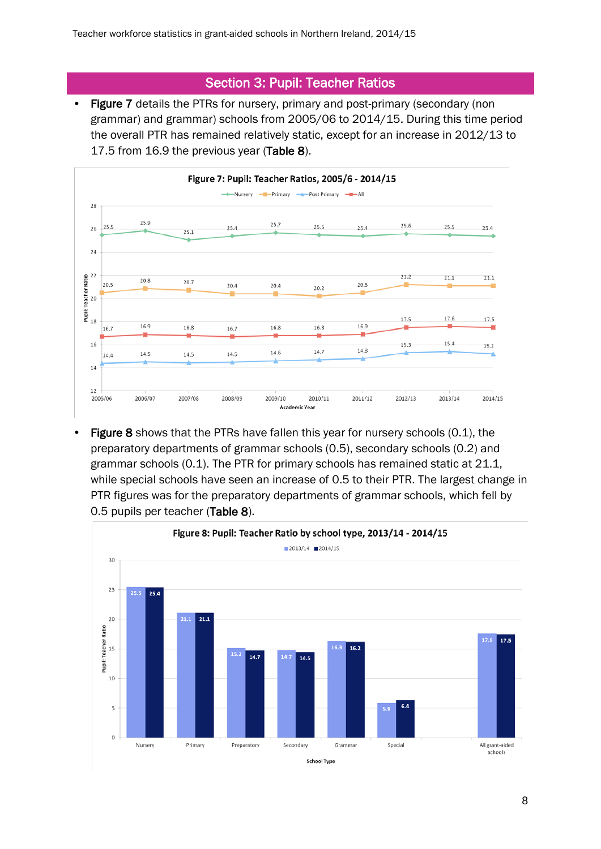# Section 3: Pupil: Teacher Ratios

• Figure 7 details the PTRs for nursery, primary and post-primary (secondary (non grammar) and grammar) schools from 2005/06 to 2014/15. During this time period the overall PTR has remained relatively static, except for an increase in 2012/13 to 17.5 from 16.9 the previous year (Table 8).



Figure 8 shows that the PTRs have fallen this year for nursery schools (0.1), the preparatory departments of grammar schools (0.5), secondary schools (0.2) and grammar schools (0.1). The PTR for primary schools has remained static at 21.1, while special schools have seen an increase of 0.5 to their PTR. The largest change in PTR figures was for the preparatory departments of grammar schools, which fell by 0.5 pupils per teacher (Table 8).

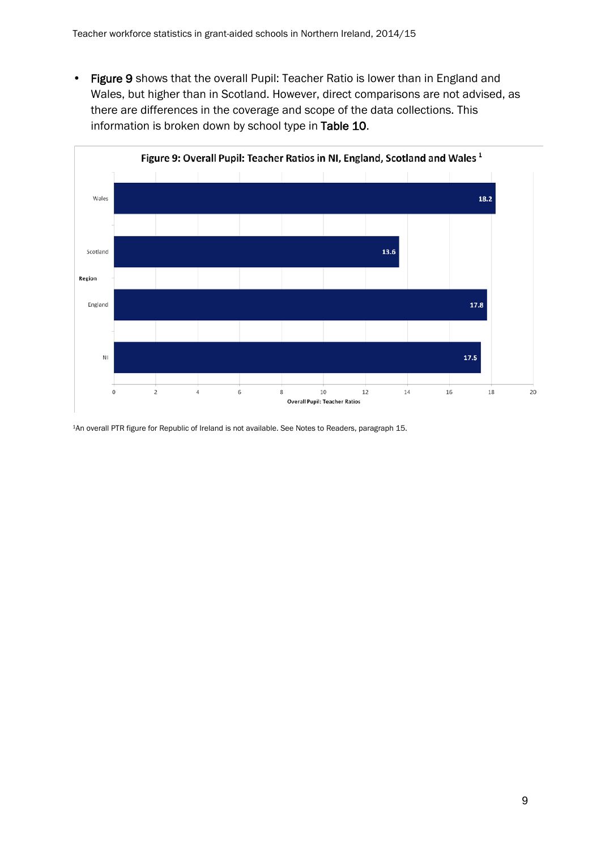• Figure 9 shows that the overall Pupil: Teacher Ratio is lower than in England and Wales, but higher than in Scotland. However, direct comparisons are not advised, as there are differences in the coverage and scope of the data collections. This information is broken down by school type in Table 10.



1An overall PTR figure for Republic of Ireland is not available. See Notes to Readers, paragraph 15.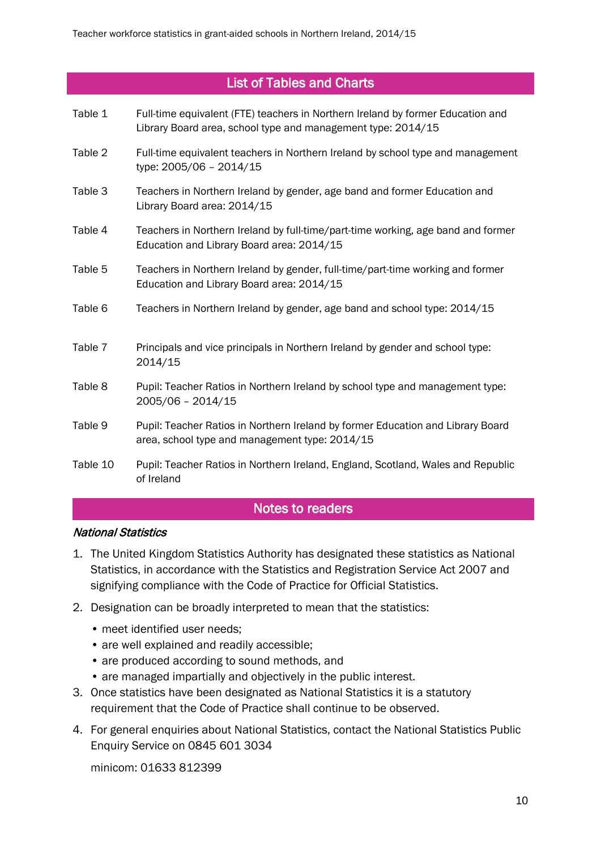# List of Tables and Charts

- Table 1 Full-time equivalent (FTE) teachers in Northern Ireland by former Education and Library Board area, school type and management type: 2014/15
- Table 2 Full-time equivalent teachers in Northern Ireland by school type and management type: 2005/06 – 2014/15
- Table 3 Teachers in Northern Ireland by gender, age band and former Education and Library Board area: 2014/15
- Table 4 Teachers in Northern Ireland by full-time/part-time working, age band and former Education and Library Board area: 2014/15
- Table 5 Teachers in Northern Ireland by gender, full-time/part-time working and former Education and Library Board area: 2014/15
- Table 6 Teachers in Northern Ireland by gender, age band and school type: 2014/15
- Table 7 Principals and vice principals in Northern Ireland by gender and school type: 2014/15
- Table 8 Pupil: Teacher Ratios in Northern Ireland by school type and management type: 2005/06 – 2014/15
- Table 9 Pupil: Teacher Ratios in Northern Ireland by former Education and Library Board area, school type and management type: 2014/15
- Table 10 Pupil: Teacher Ratios in Northern Ireland, England, Scotland, Wales and Republic of Ireland

# Notes to readers

#### National Statistics

- 1. The United Kingdom Statistics Authority has designated these statistics as National Statistics, in accordance with the Statistics and Registration Service Act 2007 and signifying compliance with the Code of Practice for Official Statistics.
- 2. Designation can be broadly interpreted to mean that the statistics:
	- meet identified user needs;
	- are well explained and readily accessible;
	- are produced according to sound methods, and
	- are managed impartially and objectively in the public interest.
- 3. Once statistics have been designated as National Statistics it is a statutory requirement that the Code of Practice shall continue to be observed.
- 4. For general enquiries about National Statistics, contact the National Statistics Public Enquiry Service on 0845 601 3034

minicom: 01633 812399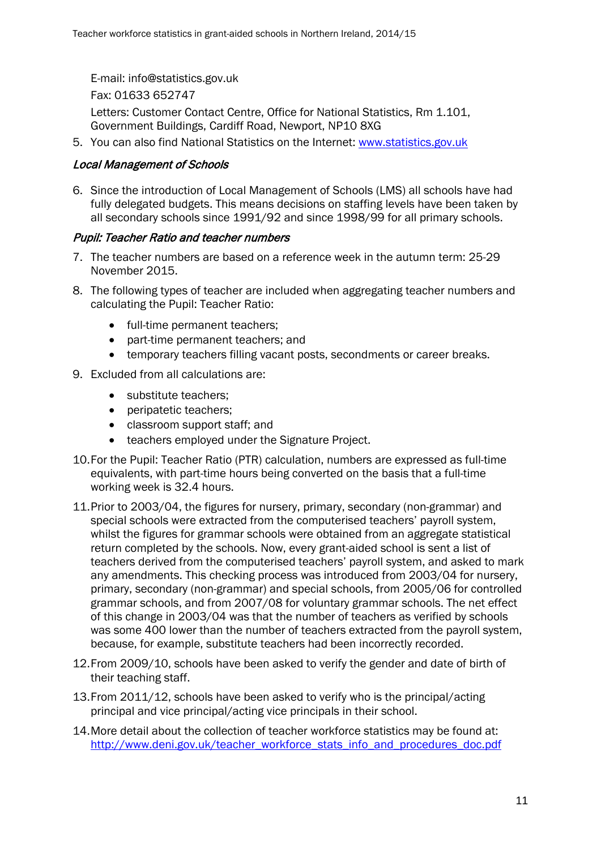E-mail: info@statistics.gov.uk Fax: 01633 652747 Letters: Customer Contact Centre, Office for National Statistics, Rm 1.101, Government Buildings, Cardiff Road, Newport, NP10 8XG

5. You can also find National Statistics on the Internet: www.statistics.gov.uk

#### Local Management of Schools

6. Since the introduction of Local Management of Schools (LMS) all schools have had fully delegated budgets. This means decisions on staffing levels have been taken by all secondary schools since 1991/92 and since 1998/99 for all primary schools.

#### Pupil: Teacher Ratio and teacher numbers

- 7. The teacher numbers are based on a reference week in the autumn term: 25-29 November 2015.
- 8. The following types of teacher are included when aggregating teacher numbers and calculating the Pupil: Teacher Ratio:
	- full-time permanent teachers;
	- part-time permanent teachers; and
	- temporary teachers filling vacant posts, secondments or career breaks.
- 9. Excluded from all calculations are:
	- substitute teachers:
	- peripatetic teachers;
	- classroom support staff; and
	- teachers employed under the Signature Project.
- 10.For the Pupil: Teacher Ratio (PTR) calculation, numbers are expressed as full-time equivalents, with part-time hours being converted on the basis that a full-time working week is 32.4 hours.
- 11.Prior to 2003/04, the figures for nursery, primary, secondary (non-grammar) and special schools were extracted from the computerised teachers' payroll system, whilst the figures for grammar schools were obtained from an aggregate statistical return completed by the schools. Now, every grant-aided school is sent a list of teachers derived from the computerised teachers' payroll system, and asked to mark any amendments. This checking process was introduced from 2003/04 for nursery, primary, secondary (non-grammar) and special schools, from 2005/06 for controlled grammar schools, and from 2007/08 for voluntary grammar schools. The net effect of this change in 2003/04 was that the number of teachers as verified by schools was some 400 lower than the number of teachers extracted from the payroll system, because, for example, substitute teachers had been incorrectly recorded.
- 12.From 2009/10, schools have been asked to verify the gender and date of birth of their teaching staff.
- 13.From 2011/12, schools have been asked to verify who is the principal/acting principal and vice principal/acting vice principals in their school.
- 14.More detail about the collection of teacher workforce statistics may be found at: [http://www.deni.gov.uk/teacher\\_workforce\\_stats\\_info\\_and\\_procedures\\_doc.pdf](http://www.deni.gov.uk/teacher_workforce_stats_info_and_procedures_doc.pdf)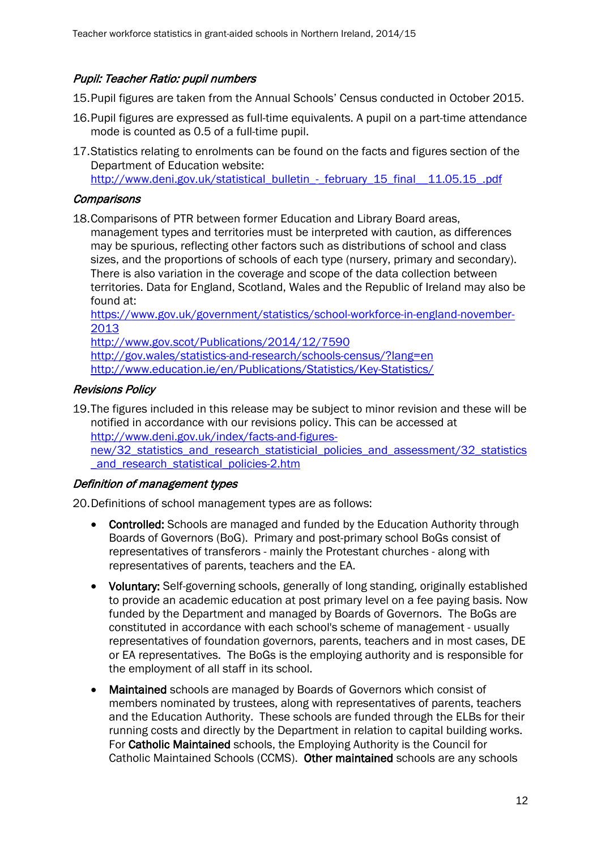## Pupil: Teacher Ratio: pupil numbers

15.Pupil figures are taken from the Annual Schools' Census conducted in October 2015.

- 16.Pupil figures are expressed as full-time equivalents. A pupil on a part-time attendance mode is counted as 0.5 of a full-time pupil.
- 17.Statistics relating to enrolments can be found on the facts and figures section of the Department of Education website: http://www.deni.gov.uk/statistical\_bulletin - february\_15\_final\_\_11.05.15\_.pdf

#### **Comparisons**

18.Comparisons of PTR between former Education and Library Board areas, management types and territories must be interpreted with caution, as differences may be spurious, reflecting other factors such as distributions of school and class sizes, and the proportions of schools of each type (nursery, primary and secondary). There is also variation in the coverage and scope of the data collection between territories. Data for England, Scotland, Wales and the Republic of Ireland may also be found at:

[https://www.gov.uk/government/statistics/school-workforce-in-england-november-](https://www.gov.uk/government/statistics/school-workforce-in-england-november-2013)[2013](https://www.gov.uk/government/statistics/school-workforce-in-england-november-2013)

<http://www.gov.scot/Publications/2014/12/7590> <http://gov.wales/statistics-and-research/schools-census/?lang=en> <http://www.education.ie/en/Publications/Statistics/Key-Statistics/>

## Revisions Policy

19.The figures included in this release may be subject to minor revision and these will be notified in accordance with our revisions policy. This can be accessed at [http://www.deni.gov.uk/index/facts-and-figures](http://www.deni.gov.uk/index/facts-and-figures-new/32_statistics_and_research_statisticial_policies_and_assessment/32_statistics_and_research_statistical_policies-2.htm)new/32 statistics and research statisticial policies and assessment/32 statistics and research statistical policies-2.htm

## Definition of management types

20.Definitions of school management types are as follows:

- Controlled: Schools are managed and funded by the Education Authority through Boards of Governors (BoG). Primary and post-primary school BoGs consist of representatives of transferors - mainly the Protestant churches - along with representatives of parents, teachers and the EA.
- Voluntary: Self-governing schools, generally of long standing, originally established to provide an academic education at post primary level on a fee paying basis. Now funded by the Department and managed by Boards of Governors. The BoGs are constituted in accordance with each school's scheme of management - usually representatives of foundation governors, parents, teachers and in most cases, DE or EA representatives. The BoGs is the employing authority and is responsible for the employment of all staff in its school.
- Maintained schools are managed by Boards of Governors which consist of members nominated by trustees, along with representatives of parents, teachers and the Education Authority. These schools are funded through the ELBs for their running costs and directly by the Department in relation to capital building works. For Catholic Maintained schools, the Employing Authority is the Council for Catholic Maintained Schools (CCMS). Other maintained schools are any schools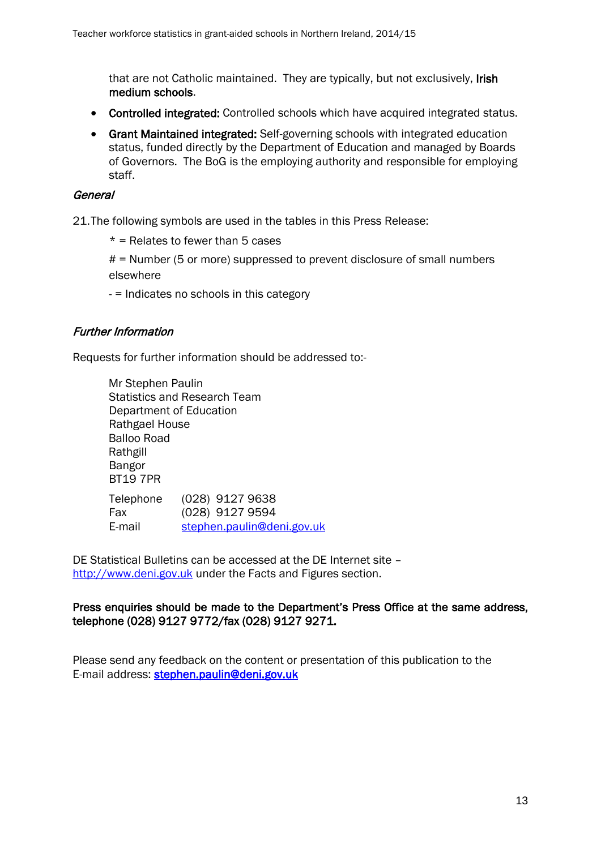that are not Catholic maintained. They are typically, but not exclusively, Irish medium schools.

- Controlled integrated: Controlled schools which have acquired integrated status.
- Grant Maintained integrated: Self-governing schools with integrated education status, funded directly by the Department of Education and managed by Boards of Governors. The BoG is the employing authority and responsible for employing staff.

#### General

21.The following symbols are used in the tables in this Press Release:

 $*$  = Relates to fewer than 5 cases

# = Number (5 or more) suppressed to prevent disclosure of small numbers elsewhere

- = Indicates no schools in this category

## Further Information

Requests for further information should be addressed to:-

Mr Stephen Paulin Statistics and Research Team Department of Education Rathgael House Balloo Road Rathgill Bangor BT19 7PR Telephone (028) 9127 9638 Fax (028) 9127 9594 E-mail [stephen.paulin@deni.gov.uk](mailto:stephen.paulin@deni.gov.uk)

DE Statistical Bulletins can be accessed at the DE Internet site – [http://www.deni.gov.uk](http://www.deni.gov.uk/) under the Facts and Figures section.

## Press enquiries should be made to the Department's Press Office at the same address, telephone (028) 9127 9772/fax (028) 9127 9271.

Please send any feedback on the content or presentation of this publication to the E-mail address: stephen.paulin@deni.gov.uk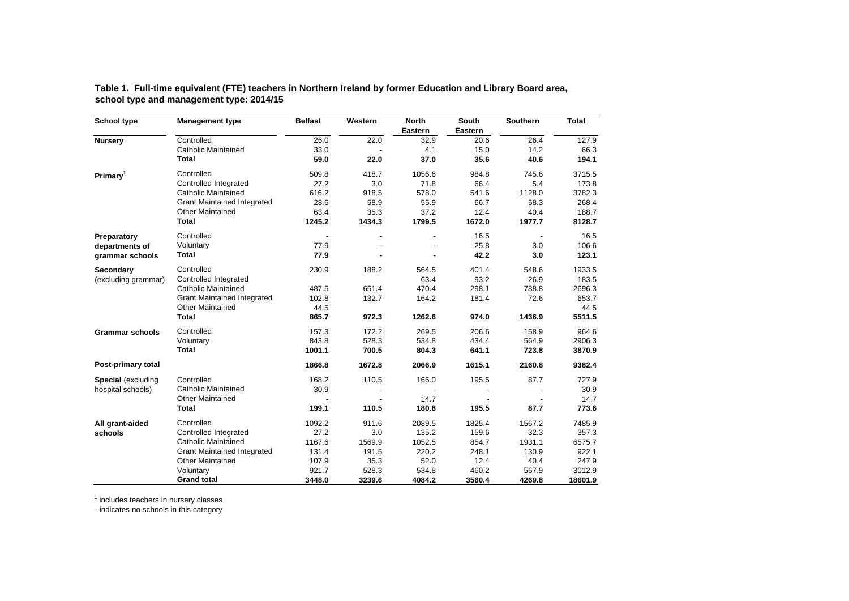|                                          | Table 1.  Full-time equivalent (FTE) teachers in Northern Ireland by former Education and Library Board area, |  |  |
|------------------------------------------|---------------------------------------------------------------------------------------------------------------|--|--|
| school type and management type: 2014/15 |                                                                                                               |  |  |

| School type            | <b>Management type</b>             | <b>Belfast</b> | Western                  | <b>North</b><br>Eastern | South<br>Eastern | Southern                 | <b>Total</b> |
|------------------------|------------------------------------|----------------|--------------------------|-------------------------|------------------|--------------------------|--------------|
| <b>Nursery</b>         | Controlled                         | 26.0           | 22.0                     | 32.9                    | 20.6             | 26.4                     | 127.9        |
|                        | <b>Catholic Maintained</b>         | 33.0           |                          | 4.1                     | 15.0             | 14.2                     | 66.3         |
|                        | <b>Total</b>                       | 59.0           | 22.0                     | 37.0                    | 35.6             | 40.6                     | 194.1        |
| Primary <sup>1</sup>   | Controlled                         | 509.8          | 418.7                    | 1056.6                  | 984.8            | 745.6                    | 3715.5       |
|                        | Controlled Integrated              | 27.2           | 3.0                      | 71.8                    | 66.4             | 5.4                      | 173.8        |
|                        | <b>Catholic Maintained</b>         | 616.2          | 918.5                    | 578.0                   | 541.6            | 1128.0                   | 3782.3       |
|                        | <b>Grant Maintained Integrated</b> | 28.6           | 58.9                     | 55.9                    | 66.7             | 58.3                     | 268.4        |
|                        | <b>Other Maintained</b>            | 63.4           | 35.3                     | 37.2                    | 12.4             | 40.4                     | 188.7        |
|                        | <b>Total</b>                       | 1245.2         | 1434.3                   | 1799.5                  | 1672.0           | 1977.7                   | 8128.7       |
| Preparatory            | Controlled                         |                | $\overline{\phantom{a}}$ |                         | 16.5             | $\overline{\phantom{a}}$ | 16.5         |
| departments of         | Voluntary                          | 77.9           |                          |                         | 25.8             | 3.0                      | 106.6        |
| grammar schools        | <b>Total</b>                       | 77.9           |                          |                         | 42.2             | 3.0                      | 123.1        |
| Secondary              | Controlled                         | 230.9          | 188.2                    | 564.5                   | 401.4            | 548.6                    | 1933.5       |
| (excluding grammar)    | Controlled Integrated              |                |                          | 63.4                    | 93.2             | 26.9                     | 183.5        |
|                        | <b>Catholic Maintained</b>         | 487.5          | 651.4                    | 470.4                   | 298.1            | 788.8                    | 2696.3       |
|                        | <b>Grant Maintained Integrated</b> | 102.8          | 132.7                    | 164.2                   | 181.4            | 72.6                     | 653.7        |
|                        | <b>Other Maintained</b>            | 44.5           |                          |                         |                  |                          | 44.5         |
|                        | <b>Total</b>                       | 865.7          | 972.3                    | 1262.6                  | 974.0            | 1436.9                   | 5511.5       |
| <b>Grammar schools</b> | Controlled                         | 157.3          | 172.2                    | 269.5                   | 206.6            | 158.9                    | 964.6        |
|                        | Voluntary                          | 843.8          | 528.3                    | 534.8                   | 434.4            | 564.9                    | 2906.3       |
|                        | <b>Total</b>                       | 1001.1         | 700.5                    | 804.3                   | 641.1            | 723.8                    | 3870.9       |
| Post-primary total     |                                    | 1866.8         | 1672.8                   | 2066.9                  | 1615.1           | 2160.8                   | 9382.4       |
| Special (excluding     | Controlled                         | 168.2          | 110.5                    | 166.0                   | 195.5            | 87.7                     | 727.9        |
| hospital schools)      | <b>Catholic Maintained</b>         | 30.9           |                          |                         |                  |                          | 30.9         |
|                        | <b>Other Maintained</b>            |                |                          | 14.7                    |                  |                          | 14.7         |
|                        | <b>Total</b>                       | 199.1          | 110.5                    | 180.8                   | 195.5            | 87.7                     | 773.6        |
| All grant-aided        | Controlled                         | 1092.2         | 911.6                    | 2089.5                  | 1825.4           | 1567.2                   | 7485.9       |
| schools                | Controlled Integrated              | 27.2           | 3.0                      | 135.2                   | 159.6            | 32.3                     | 357.3        |
|                        | <b>Catholic Maintained</b>         | 1167.6         | 1569.9                   | 1052.5                  | 854.7            | 1931.1                   | 6575.7       |
|                        | <b>Grant Maintained Integrated</b> | 131.4          | 191.5                    | 220.2                   | 248.1            | 130.9                    | 922.1        |
|                        | <b>Other Maintained</b>            | 107.9          | 35.3                     | 52.0                    | 12.4             | 40.4                     | 247.9        |
|                        | Voluntary                          | 921.7          | 528.3                    | 534.8                   | 460.2            | 567.9                    | 3012.9       |
|                        | <b>Grand total</b>                 | 3448.0         | 3239.6                   | 4084.2                  | 3560.4           | 4269.8                   | 18601.9      |

<sup>1</sup> includes teachers in nursery classes

- indicates no schools in this category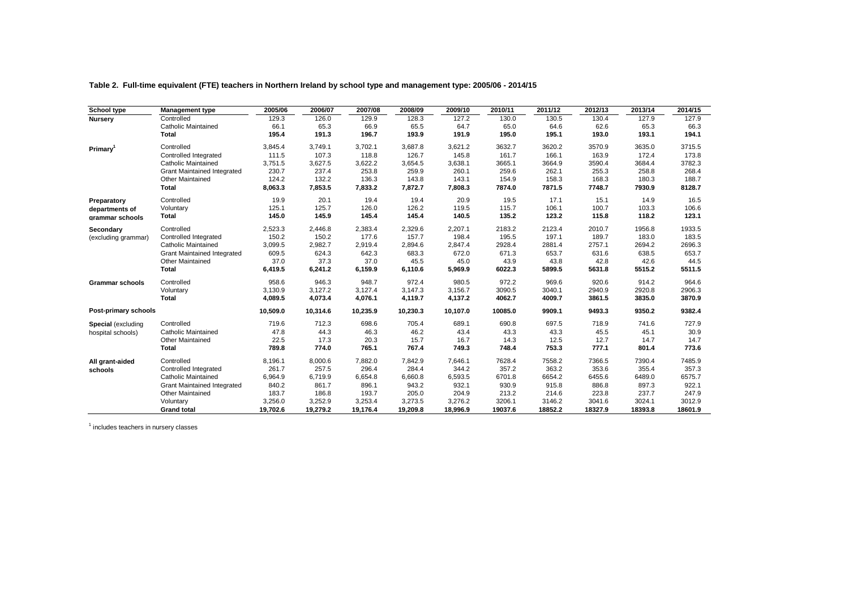| Table 2. Full-time equivalent (FTE) teachers in Northern Ireland by school type and management type: 2005/06 - 2014/15 |  |  |  |  |
|------------------------------------------------------------------------------------------------------------------------|--|--|--|--|
|                                                                                                                        |  |  |  |  |

| School type            | <b>Management type</b>             | 2005/06  | 2006/07  | 2007/08  | 2008/09  | 2009/10  | 2010/11 | 2011/12 | 2012/13 | 2013/14 | 2014/15 |
|------------------------|------------------------------------|----------|----------|----------|----------|----------|---------|---------|---------|---------|---------|
| Nursery                | Controlled                         | 129.3    | 126.0    | 129.9    | 128.3    | 127.2    | 130.0   | 130.5   | 130.4   | 127.9   | 127.9   |
|                        | <b>Catholic Maintained</b>         | 66.1     | 65.3     | 66.9     | 65.5     | 64.7     | 65.0    | 64.6    | 62.6    | 65.3    | 66.3    |
|                        | Total                              | 195.4    | 191.3    | 196.7    | 193.9    | 191.9    | 195.0   | 195.1   | 193.0   | 193.1   | 194.1   |
| Primary <sup>1</sup>   | Controlled                         | 3,845.4  | 3,749.1  | 3,702.1  | 3,687.8  | 3,621.2  | 3632.7  | 3620.2  | 3570.9  | 3635.0  | 3715.5  |
|                        | Controlled Integrated              | 111.5    | 107.3    | 118.8    | 126.7    | 145.8    | 161.7   | 166.1   | 163.9   | 172.4   | 173.8   |
|                        | <b>Catholic Maintained</b>         | 3,751.5  | 3,627.5  | 3,622.2  | 3,654.5  | 3,638.1  | 3665.1  | 3664.9  | 3590.4  | 3684.4  | 3782.3  |
|                        | <b>Grant Maintained Integrated</b> | 230.7    | 237.4    | 253.8    | 259.9    | 260.1    | 259.6   | 262.1   | 255.3   | 258.8   | 268.4   |
|                        | <b>Other Maintained</b>            | 124.2    | 132.2    | 136.3    | 143.8    | 143.1    | 154.9   | 158.3   | 168.3   | 180.3   | 188.7   |
|                        | <b>Total</b>                       | 8,063.3  | 7,853.5  | 7,833.2  | 7,872.7  | 7,808.3  | 7874.0  | 7871.5  | 7748.7  | 7930.9  | 8128.7  |
| Preparatory            | Controlled                         | 19.9     | 20.1     | 19.4     | 19.4     | 20.9     | 19.5    | 17.1    | 15.1    | 14.9    | 16.5    |
| departments of         | Voluntary                          | 125.1    | 125.7    | 126.0    | 126.2    | 119.5    | 115.7   | 106.1   | 100.7   | 103.3   | 106.6   |
| grammar schools        | <b>Total</b>                       | 145.0    | 145.9    | 145.4    | 145.4    | 140.5    | 135.2   | 123.2   | 115.8   | 118.2   | 123.1   |
| Secondary              | Controlled                         | 2,523.3  | 2,446.8  | 2,383.4  | 2,329.6  | 2,207.1  | 2183.2  | 2123.4  | 2010.7  | 1956.8  | 1933.5  |
| (excluding grammar)    | Controlled Integrated              | 150.2    | 150.2    | 177.6    | 157.7    | 198.4    | 195.5   | 197.1   | 189.7   | 183.0   | 183.5   |
|                        | <b>Catholic Maintained</b>         | 3,099.5  | 2,982.7  | 2,919.4  | 2,894.6  | 2,847.4  | 2928.4  | 2881.4  | 2757.1  | 2694.2  | 2696.3  |
|                        | <b>Grant Maintained Integrated</b> | 609.5    | 624.3    | 642.3    | 683.3    | 672.0    | 671.3   | 653.7   | 631.6   | 638.5   | 653.7   |
|                        | <b>Other Maintained</b>            | 37.0     | 37.3     | 37.0     | 45.5     | 45.0     | 43.9    | 43.8    | 42.8    | 42.6    | 44.5    |
|                        | <b>Total</b>                       | 6,419.5  | 6,241.2  | 6,159.9  | 6,110.6  | 5,969.9  | 6022.3  | 5899.5  | 5631.8  | 5515.2  | 5511.5  |
| <b>Grammar schools</b> | Controlled                         | 958.6    | 946.3    | 948.7    | 972.4    | 980.5    | 972.2   | 969.6   | 920.6   | 914.2   | 964.6   |
|                        | Voluntary                          | 3.130.9  | 3.127.2  | 3.127.4  | 3,147.3  | 3,156.7  | 3090.5  | 3040.1  | 2940.9  | 2920.8  | 2906.3  |
|                        | <b>Total</b>                       | 4,089.5  | 4,073.4  | 4,076.1  | 4,119.7  | 4,137.2  | 4062.7  | 4009.7  | 3861.5  | 3835.0  | 3870.9  |
| Post-primary schools   |                                    | 10,509.0 | 10,314.6 | 10,235.9 | 10,230.3 | 10,107.0 | 10085.0 | 9909.1  | 9493.3  | 9350.2  | 9382.4  |
| Special (excluding     | Controlled                         | 719.6    | 712.3    | 698.6    | 705.4    | 689.1    | 690.8   | 697.5   | 718.9   | 741.6   | 727.9   |
| hospital schools)      | <b>Catholic Maintained</b>         | 47.8     | 44.3     | 46.3     | 46.2     | 43.4     | 43.3    | 43.3    | 45.5    | 45.1    | 30.9    |
|                        | <b>Other Maintained</b>            | 22.5     | 17.3     | 20.3     | 15.7     | 16.7     | 14.3    | 12.5    | 12.7    | 14.7    | 14.7    |
|                        | <b>Total</b>                       | 789.8    | 774.0    | 765.1    | 767.4    | 749.3    | 748.4   | 753.3   | 777.1   | 801.4   | 773.6   |
| All grant-aided        | Controlled                         | 8,196.1  | 8,000.6  | 7,882.0  | 7,842.9  | 7,646.1  | 7628.4  | 7558.2  | 7366.5  | 7390.4  | 7485.9  |
| schools                | Controlled Integrated              | 261.7    | 257.5    | 296.4    | 284.4    | 344.2    | 357.2   | 363.2   | 353.6   | 355.4   | 357.3   |
|                        | <b>Catholic Maintained</b>         | 6,964.9  | 6,719.9  | 6,654.8  | 6,660.8  | 6,593.5  | 6701.8  | 6654.2  | 6455.6  | 6489.0  | 6575.7  |
|                        | <b>Grant Maintained Integrated</b> | 840.2    | 861.7    | 896.1    | 943.2    | 932.1    | 930.9   | 915.8   | 886.8   | 897.3   | 922.1   |
|                        | <b>Other Maintained</b>            | 183.7    | 186.8    | 193.7    | 205.0    | 204.9    | 213.2   | 214.6   | 223.8   | 237.7   | 247.9   |
|                        | Voluntary                          | 3,256.0  | 3,252.9  | 3,253.4  | 3,273.5  | 3,276.2  | 3206.1  | 3146.2  | 3041.6  | 3024.1  | 3012.9  |
|                        | <b>Grand total</b>                 | 19,702.6 | 19,279.2 | 19,176.4 | 19,209.8 | 18,996.9 | 19037.6 | 18852.2 | 18327.9 | 18393.8 | 18601.9 |

<sup>1</sup> includes teachers in nursery classes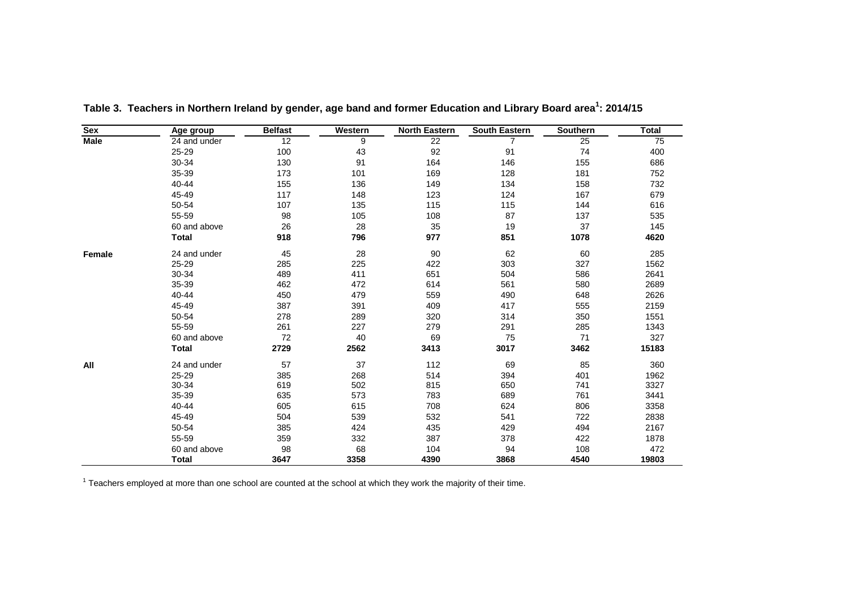| Sex         | Age group    | <b>Belfast</b> | Western | <b>North Eastern</b> | <b>South Eastern</b> | Southern | <b>Total</b> |
|-------------|--------------|----------------|---------|----------------------|----------------------|----------|--------------|
| <b>Male</b> | 24 and under | 12             | 9       | 22                   | $\overline{7}$       | 25       | 75           |
|             | 25-29        | 100            | 43      | 92                   | 91                   | 74       | 400          |
|             | 30-34        | 130            | 91      | 164                  | 146                  | 155      | 686          |
|             | 35-39        | 173            | 101     | 169                  | 128                  | 181      | 752          |
|             | 40-44        | 155            | 136     | 149                  | 134                  | 158      | 732          |
|             | 45-49        | 117            | 148     | 123                  | 124                  | 167      | 679          |
|             | 50-54        | 107            | 135     | 115                  | 115                  | 144      | 616          |
|             | 55-59        | 98             | 105     | 108                  | 87                   | 137      | 535          |
|             | 60 and above | 26             | 28      | 35                   | 19                   | 37       | 145          |
|             | <b>Total</b> | 918            | 796     | 977                  | 851                  | 1078     | 4620         |
|             | 24 and under | 45             | 28      | 90                   | 62                   | 60       | 285          |
|             | 25-29        | 285            | 225     | 422                  | 303                  | 327      | 1562         |
|             | 30-34        | 489            | 411     | 651                  | 504                  | 586      | 2641         |
|             | 35-39        | 462            | 472     | 614                  | 561                  | 580      | 2689         |
|             | 40-44        | 450            | 479     | 559                  | 490                  | 648      | 2626         |
|             | 45-49        | 387            | 391     | 409                  | 417                  | 555      | 2159         |
|             | 50-54        | 278            | 289     | 320                  | 314                  | 350      | 1551         |
|             | 55-59        | 261            | 227     | 279                  | 291                  | 285      | 1343         |
|             | 60 and above | 72             | 40      | 69                   | 75                   | 71       | 327          |
|             | <b>Total</b> | 2729           | 2562    | 3413                 | 3017                 | 3462     | 15183        |
| All         | 24 and under | 57             | 37      | 112                  | 69                   | 85       | 360          |
| Female      | 25-29        | 385            | 268     | 514                  | 394                  | 401      | 1962         |
|             | 30-34        | 619            | 502     | 815                  | 650                  | 741      | 3327         |
|             | 35-39        | 635            | 573     | 783                  | 689                  | 761      | 3441         |
|             | 40-44        | 605            | 615     | 708                  | 624                  | 806      | 3358         |
|             | 45-49        | 504            | 539     | 532                  | 541                  | 722      | 2838         |
|             | 50-54        | 385            | 424     | 435                  | 429                  | 494      | 2167         |
|             | 55-59        | 359            | 332     | 387                  | 378                  | 422      | 1878         |
|             | 60 and above | 98             | 68      | 104                  | 94                   | 108      | 472          |
|             | <b>Total</b> | 3647           | 3358    | 4390                 | 3868                 | 4540     | 19803        |

Table 3. Teachers in Northern Ireland by gender, age band and former Education and Library Board area<sup>1</sup>: 2014/15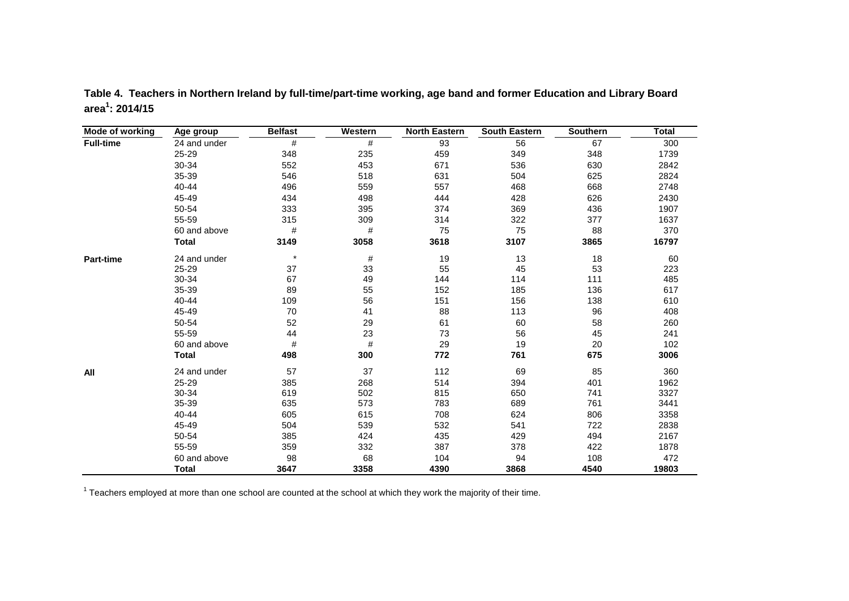| Mode of working  | Age group    | <b>Belfast</b> | Western | <b>North Eastern</b> | <b>South Eastern</b> | Southern | <b>Total</b> |
|------------------|--------------|----------------|---------|----------------------|----------------------|----------|--------------|
| <b>Full-time</b> | 24 and under | #              | #       | 93                   | 56                   | 67       | 300          |
|                  | 25-29        | 348            | 235     | 459                  | 349                  | 348      | 1739         |
|                  | 30-34        | 552            | 453     | 671                  | 536                  | 630      | 2842         |
|                  | 35-39        | 546            | 518     | 631                  | 504                  | 625      | 2824         |
|                  | 40-44        | 496            | 559     | 557                  | 468                  | 668      | 2748         |
|                  | 45-49        | 434            | 498     | 444                  | 428                  | 626      | 2430         |
|                  | 50-54        | 333            | 395     | 374                  | 369                  | 436      | 1907         |
|                  | 55-59        | 315            | 309     | 314                  | 322                  | 377      | 1637         |
|                  | 60 and above | #              | #       | 75                   | 75                   | 88       | 370          |
|                  | <b>Total</b> | 3149           | 3058    | 3618                 | 3107                 | 3865     | 16797        |
| <b>Part-time</b> | 24 and under | $\star$        | $\#$    | 19                   | 13                   | 18       | 60           |
|                  | 25-29        | 37             | 33      | 55                   | 45                   | 53       | 223          |
|                  | 30-34        | 67             | 49      | 144                  | 114                  | 111      | 485          |
|                  | 35-39        | 89             | 55      | 152                  | 185                  | 136      | 617          |
|                  | 40-44        | 109            | 56      | 151                  | 156                  | 138      | 610          |
|                  | 45-49        | 70             | 41      | 88                   | 113                  | 96       | 408          |
|                  | 50-54        | 52             | 29      | 61                   | 60                   | 58       | 260          |
|                  | 55-59        | 44             | 23      | 73                   | 56                   | 45       | 241          |
|                  | 60 and above | $\#$           | $\#$    | 29                   | 19                   | 20       | 102          |
|                  | <b>Total</b> | 498            | 300     | 772                  | 761                  | 675      | 3006         |
| All              | 24 and under | 57             | 37      | 112                  | 69                   | 85       | 360          |
|                  | 25-29        | 385            | 268     | 514                  | 394                  | 401      | 1962         |
|                  | 30-34        | 619            | 502     | 815                  | 650                  | 741      | 3327         |
|                  | 35-39        | 635            | 573     | 783                  | 689                  | 761      | 3441         |
|                  | 40-44        | 605            | 615     | 708                  | 624                  | 806      | 3358         |
|                  | 45-49        | 504            | 539     | 532                  | 541                  | 722      | 2838         |
|                  | 50-54        | 385            | 424     | 435                  | 429                  | 494      | 2167         |
|                  | 55-59        | 359            | 332     | 387                  | 378                  | 422      | 1878         |
|                  | 60 and above | 98             | 68      | 104                  | 94                   | 108      | 472          |
|                  | <b>Total</b> | 3647           | 3358    | 4390                 | 3868                 | 4540     | 19803        |

**Table 4. Teachers in Northern Ireland by full-time/part-time working, age band and former Education and Library Board area1 : 2014/15**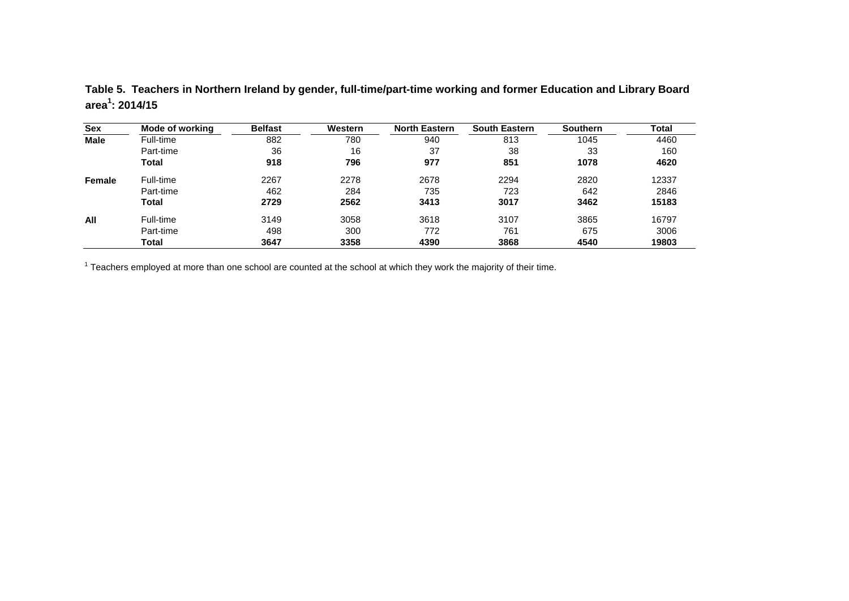| Table 5. Teachers in Northern Ireland by gender, full-time/part-time working and former Education and Library Board |
|---------------------------------------------------------------------------------------------------------------------|
| area <sup>1</sup> : 2014/15                                                                                         |

| <b>Sex</b>  | Mode of working | <b>Belfast</b> | Western | <b>North Eastern</b> | <b>South Eastern</b> | <b>Southern</b> | <b>Total</b> |
|-------------|-----------------|----------------|---------|----------------------|----------------------|-----------------|--------------|
| <b>Male</b> | Full-time       | 882            | 780     | 940                  | 813                  | 1045            | 4460         |
|             | Part-time       | 36             | 16      | 37                   | 38                   | 33              | 160          |
|             | Total           | 918            | 796     | 977                  | 851                  | 1078            | 4620         |
| Female      | Full-time       | 2267           | 2278    | 2678                 | 2294                 | 2820            | 12337        |
|             | Part-time       | 462            | 284     | 735                  | 723                  | 642             | 2846         |
|             | Total           | 2729           | 2562    | 3413                 | 3017                 | 3462            | 15183        |
| All         | Full-time       | 3149           | 3058    | 3618                 | 3107                 | 3865            | 16797        |
|             | Part-time       | 498            | 300     | 772                  | 761                  | 675             | 3006         |
|             | Total           | 3647           | 3358    | 4390                 | 3868                 | 4540            | 19803        |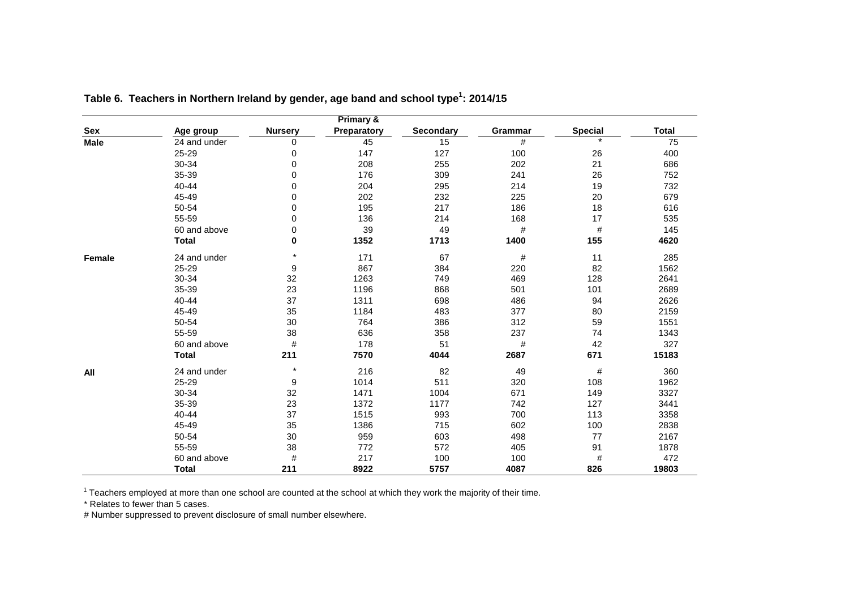|               |              |                | Primary &   |            |         |                |              |
|---------------|--------------|----------------|-------------|------------|---------|----------------|--------------|
| Sex           | Age group    | <b>Nursery</b> | Preparatory | Secondary  | Grammar | <b>Special</b> | <b>Total</b> |
| <b>Male</b>   | 24 and under | 0              | 45          | 15         | #       |                | 75           |
|               | 25-29        | 0              | 147         | 127        | 100     | 26             | 400          |
|               | 30-34        | 0              | 208         | 255        | 202     | 21             | 686          |
|               | 35-39        | $\Omega$       | 176         | 309        | 241     | 26             | 752          |
|               | 40-44        | 0              | 204         | 295        | 214     | 19             | 732          |
|               | 45-49        | 0              | 202         | 232        | 225     | 20             | 679          |
|               | 50-54        | 0              | 195         | 217        | 186     | 18             | 616          |
|               | 55-59        | 0              | 136         | 214        | 168     | 17             | 535          |
|               | 60 and above | 0              | 39          | 49         | $\#$    | $\#$           | 145          |
|               | <b>Total</b> | 0              | 1352        | 1713       | 1400    | 155            | 4620         |
| <b>Female</b> | 24 and under | $\star$        | 171         | 67         | #       | 11             | 285          |
|               | 25-29        | 9              | 867         | 384        | 220     | 82             | 1562         |
|               | 30-34        | 32             | 1263        | 469<br>749 |         | 128            | 2641         |
|               | 35-39        | 23             | 1196        | 868        | 501     | 101            | 2689         |
|               | 40-44        | 37             | 1311        | 698        | 486     | 94             | 2626         |
|               | 45-49        | 35             | 1184        | 483        | 377     | 80             | 2159         |
|               | 50-54        | 30             | 764         | 386        | 312     | 59             | 1551         |
|               | 55-59        | 38             | 636         | 358        | 237     | 74             | 1343         |
|               | 60 and above | #              | 178         | 51         | #       | 42             | 327          |
|               | <b>Total</b> | 211            | 7570        | 4044       | 2687    | 671            | 15183        |
| All           | 24 and under | $\star$        | 216         | 82         | 49      | #              | 360          |
|               | 25-29        | 9              | 1014        | 511        | 320     | 108            | 1962         |
|               | 30-34        | 32             | 1471        | 1004       | 671     | 149            | 3327         |
|               | 35-39        | 23             | 1372        | 1177       | 742     | 127            | 3441         |
|               | 40-44        | 37             | 1515        | 993        | 700     | 113            | 3358         |
|               | 45-49        | 35             | 1386        | 715        | 602     | 100            | 2838         |
|               | 50-54        | 30             | 959         | 603        | 498     | 77             | 2167         |
|               | 55-59        | 38             | 772         | 572        | 405     | 91             | 1878         |
|               | 60 and above | #              | 217         | 100        | 100     | #              | 472          |
|               | <b>Total</b> | 211            | 8922        | 5757       | 4087    | 826            | 19803        |

Table 6. Teachers in Northern Ireland by gender, age band and school type<sup>1</sup>: 2014/15

\* Relates to fewer than 5 cases.

# Number suppressed to prevent disclosure of small number elsewhere.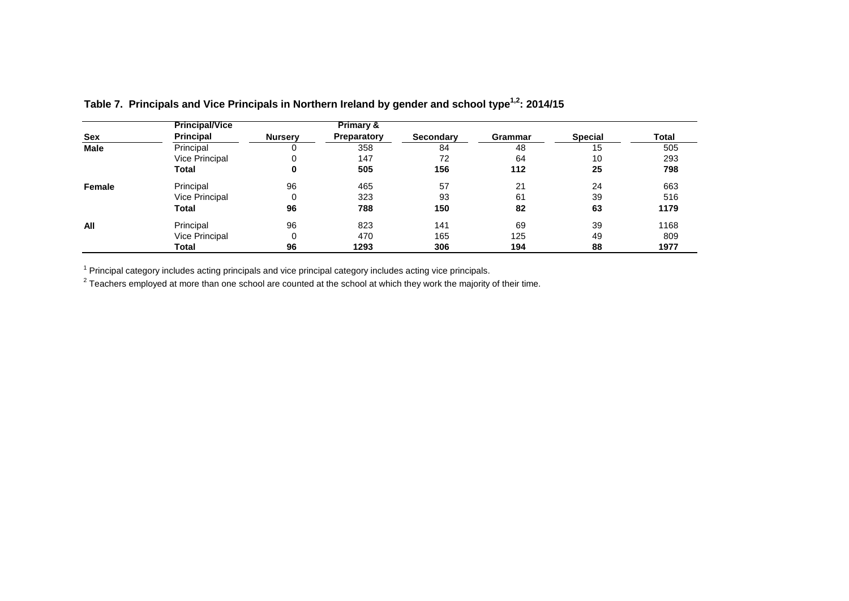|             | <b>Principal/Vice</b> |                | <b>Primary &amp;</b> |                  |         |                |       |
|-------------|-----------------------|----------------|----------------------|------------------|---------|----------------|-------|
| <b>Sex</b>  | <b>Principal</b>      | <b>Nursery</b> | <b>Preparatory</b>   | <b>Secondary</b> | Grammar | <b>Special</b> | Total |
| <b>Male</b> | Principal             | 0              | 358                  | 84               | 48      | 15             | 505   |
|             | Vice Principal        | 0              | 147                  | 72               | 64      | 10             | 293   |
|             | <b>Total</b>          | 0              | 505                  | 156              | 112     | 25             | 798   |
| Female      | Principal             | 96             | 465                  | 57               | 21      | 24             | 663   |
|             | Vice Principal        | 0              | 323                  | 93               | 61      | 39             | 516   |
|             | Total                 | 96             | 788                  | 150              | 82      | 63             | 1179  |
| All         | Principal             | 96             | 823                  | 141              | 69      | 39             | 1168  |
|             | <b>Vice Principal</b> | 0              | 470                  | 165              | 125     | 49             | 809   |
|             | Total                 | 96             | 1293                 | 306              | 194     | 88             | 1977  |

Table 7. Principals and Vice Principals in Northern Ireland by gender and school type<sup>1,2</sup>: 2014/15

 $1$  Principal category includes acting principals and vice principal category includes acting vice principals.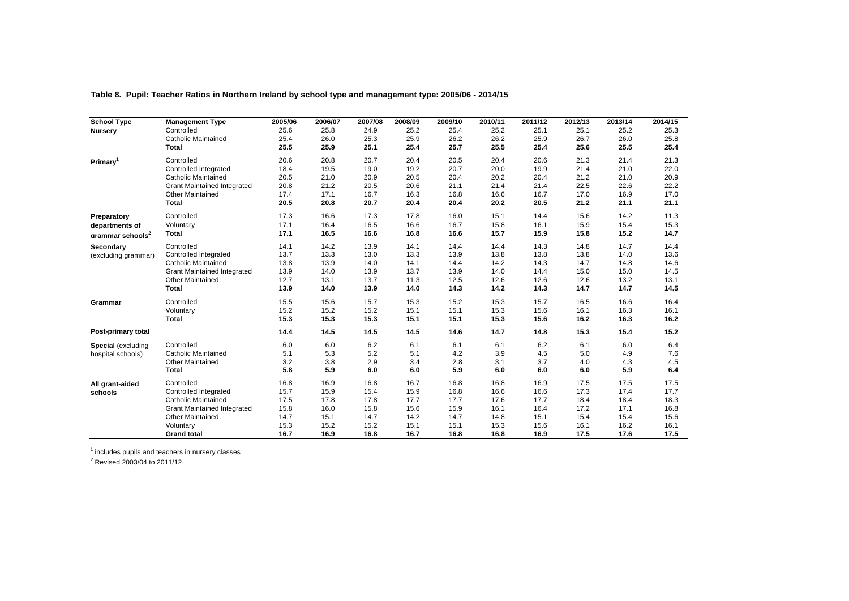| <b>School Type</b>           | <b>Management Type</b>             | 2005/06 | 2006/07 | 2007/08 | 2008/09 | 2009/10 | 2010/11 | 2011/12 | 2012/13 | 2013/14 | 2014/15 |
|------------------------------|------------------------------------|---------|---------|---------|---------|---------|---------|---------|---------|---------|---------|
| <b>Nursery</b>               | Controlled                         | 25.6    | 25.8    | 24.9    | 25.2    | 25.4    | 25.2    | 25.1    | 25.1    | 25.2    | 25.3    |
|                              | <b>Catholic Maintained</b>         | 25.4    | 26.0    | 25.3    | 25.9    | 26.2    | 26.2    | 25.9    | 26.7    | 26.0    | 25.8    |
|                              | <b>Total</b>                       | 25.5    | 25.9    | 25.1    | 25.4    | 25.7    | 25.5    | 25.4    | 25.6    | 25.5    | 25.4    |
| Primary <sup>1</sup>         | Controlled                         | 20.6    | 20.8    | 20.7    | 20.4    | 20.5    | 20.4    | 20.6    | 21.3    | 21.4    | 21.3    |
|                              | Controlled Integrated              | 18.4    | 19.5    | 19.0    | 19.2    | 20.7    | 20.0    | 19.9    | 21.4    | 21.0    | 22.0    |
|                              | <b>Catholic Maintained</b>         | 20.5    | 21.0    | 20.9    | 20.5    | 20.4    | 20.2    | 20.4    | 21.2    | 21.0    | 20.9    |
|                              | <b>Grant Maintained Integrated</b> | 20.8    | 21.2    | 20.5    | 20.6    | 21.1    | 21.4    | 21.4    | 22.5    | 22.6    | 22.2    |
|                              | <b>Other Maintained</b>            | 17.4    | 17.1    | 16.7    | 16.3    | 16.8    | 16.6    | 16.7    | 17.0    | 16.9    | 17.0    |
|                              | <b>Total</b>                       | 20.5    | 20.8    | 20.7    | 20.4    | 20.4    | 20.2    | 20.5    | 21.2    | 21.1    | 21.1    |
| Preparatory                  | Controlled                         | 17.3    | 16.6    | 17.3    | 17.8    | 16.0    | 15.1    | 14.4    | 15.6    | 14.2    | 11.3    |
| departments of               | Voluntary                          | 17.1    | 16.4    | 16.5    | 16.6    | 16.7    | 15.8    | 16.1    | 15.9    | 15.4    | 15.3    |
| arammar schools <sup>2</sup> | <b>Total</b>                       | 17.1    | 16.5    | 16.6    | 16.8    | 16.6    | 15.7    | 15.9    | 15.8    | 15.2    | 14.7    |
| Secondary                    | Controlled                         | 14.1    | 14.2    | 13.9    | 14.1    | 14.4    | 14.4    | 14.3    | 14.8    | 14.7    | 14.4    |
| (excluding grammar)          | Controlled Integrated              | 13.7    | 13.3    | 13.0    | 13.3    | 13.9    | 13.8    | 13.8    | 13.8    | 14.0    | 13.6    |
|                              | <b>Catholic Maintained</b>         | 13.8    | 13.9    | 14.0    | 14.1    | 14.4    | 14.2    | 14.3    | 14.7    | 14.8    | 14.6    |
|                              | <b>Grant Maintained Integrated</b> | 13.9    | 14.0    | 13.9    | 13.7    | 13.9    | 14.0    | 14.4    | 15.0    | 15.0    | 14.5    |
|                              | <b>Other Maintained</b>            | 12.7    | 13.1    | 13.7    | 11.3    | 12.5    | 12.6    | 12.6    | 12.6    | 13.2    | 13.1    |
|                              | <b>Total</b>                       | 13.9    | 14.0    | 13.9    | 14.0    | 14.3    | 14.2    | 14.3    | 14.7    | 14.7    | 14.5    |
| Grammar                      | Controlled                         | 15.5    | 15.6    | 15.7    | 15.3    | 15.2    | 15.3    | 15.7    | 16.5    | 16.6    | 16.4    |
|                              | Voluntary                          | 15.2    | 15.2    | 15.2    | 15.1    | 15.1    | 15.3    | 15.6    | 16.1    | 16.3    | 16.1    |
|                              | <b>Total</b>                       | 15.3    | 15.3    | 15.3    | 15.1    | 15.1    | 15.3    | 15.6    | 16.2    | 16.3    | 16.2    |
| Post-primary total           |                                    | 14.4    | 14.5    | 14.5    | 14.5    | 14.6    | 14.7    | 14.8    | 15.3    | 15.4    | 15.2    |
| <b>Special</b> (excluding    | Controlled                         | 6.0     | 6.0     | 6.2     | 6.1     | 6.1     | 6.1     | 6.2     | 6.1     | 6.0     | 6.4     |
| hospital schools)            | <b>Catholic Maintained</b>         | 5.1     | 5.3     | 5.2     | 5.1     | 4.2     | 3.9     | 4.5     | 5.0     | 4.9     | 7.6     |
|                              | <b>Other Maintained</b>            | 3.2     | 3.8     | 2.9     | 3.4     | 2.8     | 3.1     | 3.7     | 4.0     | 4.3     | 4.5     |
|                              | <b>Total</b>                       | 5.8     | 5.9     | 6.0     | 6.0     | 5.9     | 6.0     | 6.0     | 6.0     | 5.9     | 6.4     |
| All grant-aided              | Controlled                         | 16.8    | 16.9    | 16.8    | 16.7    | 16.8    | 16.8    | 16.9    | 17.5    | 17.5    | 17.5    |
| schools                      | Controlled Integrated              | 15.7    | 15.9    | 15.4    | 15.9    | 16.8    | 16.6    | 16.6    | 17.3    | 17.4    | 17.7    |
|                              | <b>Catholic Maintained</b>         | 17.5    | 17.8    | 17.8    | 17.7    | 17.7    | 17.6    | 17.7    | 18.4    | 18.4    | 18.3    |
|                              | <b>Grant Maintained Integrated</b> | 15.8    | 16.0    | 15.8    | 15.6    | 15.9    | 16.1    | 16.4    | 17.2    | 17.1    | 16.8    |
|                              | <b>Other Maintained</b>            | 14.7    | 15.1    | 14.7    | 14.2    | 14.7    | 14.8    | 15.1    | 15.4    | 15.4    | 15.6    |
|                              | Voluntary                          | 15.3    | 15.2    | 15.2    | 15.1    | 15.1    | 15.3    | 15.6    | 16.1    | 16.2    | 16.1    |
|                              | <b>Grand total</b>                 | 16.7    | 16.9    | 16.8    | 16.7    | 16.8    | 16.8    | 16.9    | 17.5    | 17.6    | 17.5    |

**Table 8. Pupil: Teacher Ratios in Northern Ireland by school type and management type: 2005/06 - 2014/15**

 $^{\rm 1}$  includes pupils and teachers in nursery classes<br> $^{\rm 2}$  Revised 2003/04 to 2011/12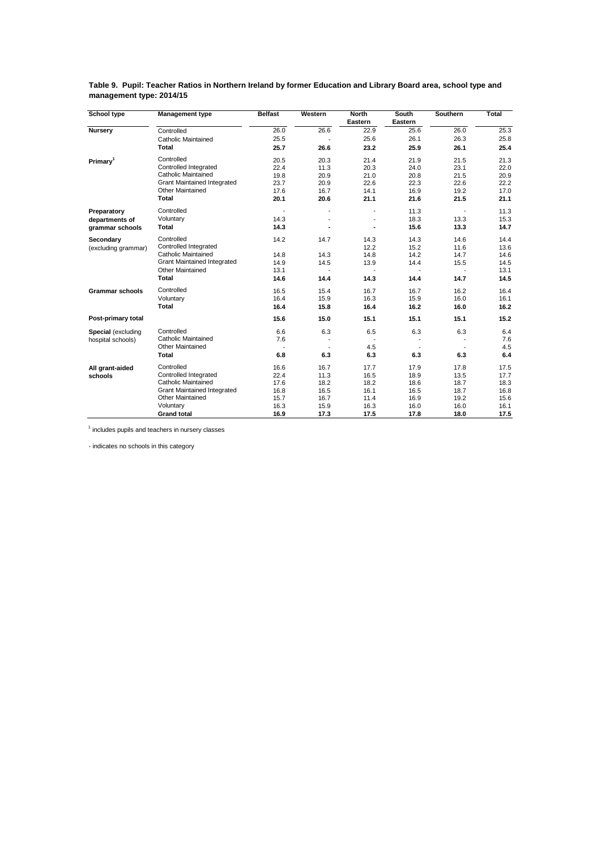| School type            | <b>Management type</b>             | <b>Belfast</b> | Western | <b>North</b><br>Eastern | <b>South</b><br>Eastern | <b>Southern</b> | <b>Total</b> |
|------------------------|------------------------------------|----------------|---------|-------------------------|-------------------------|-----------------|--------------|
| <b>Nursery</b>         | Controlled                         | 26.0           | 26.6    | 22.9                    | 25.6                    | 26.0            | 25.3         |
|                        | <b>Catholic Maintained</b>         | 25.5           |         | 25.6                    | 26.1                    | 26.3            | 25.8         |
|                        | <b>Total</b>                       | 25.7           | 26.6    | 23.2                    | 25.9                    | 26.1            | 25.4         |
| Primary <sup>1</sup>   | Controlled                         | 20.5           | 20.3    | 21.4                    | 21.9                    | 21.5            | 21.3         |
|                        | Controlled Integrated              | 22.4           | 11.3    | 20.3                    | 24.0                    | 23.1            | 22.0         |
|                        | Catholic Maintained                | 19.8           | 20.9    | 21.0                    | 20.8                    | 21.5            | 20.9         |
|                        | <b>Grant Maintained Integrated</b> | 23.7           | 20.9    | 22.6                    | 22.3                    | 22.6            | 22.2         |
|                        | Other Maintained                   | 17.6           | 16.7    | 14.1                    | 16.9                    | 19.2            | 17.0         |
|                        | <b>Total</b>                       | 20.1           | 20.6    | 21.1                    | 21.6                    | 21.5            | 21.1         |
| Preparatory            | Controlled                         |                |         |                         | 11.3                    |                 | 11.3         |
| departments of         | Voluntary                          | 14.3           |         |                         | 18.3                    | 13.3            | 15.3         |
| grammar schools        | <b>Total</b>                       | 14.3           |         | ٠                       | 15.6                    | 13.3            | 14.7         |
| Secondary              | Controlled                         | 14.2           | 14.7    | 14.3                    | 14.3                    | 14.6            | 14.4         |
| (excluding grammar)    | Controlled Integrated              |                |         | 12.2                    | 15.2                    | 11.6            | 13.6         |
|                        | Catholic Maintained                | 14.8           | 14.3    | 14.8                    | 14.2                    | 14.7            | 14.6         |
|                        | <b>Grant Maintained Integrated</b> | 14.9           | 14.5    | 13.9                    | 14.4                    | 15.5            | 14.5         |
|                        | <b>Other Maintained</b>            | 13.1           |         |                         |                         |                 | 13.1         |
|                        | <b>Total</b>                       | 14.6           | 14.4    | 14.3                    | 14.4                    | 14.7            | 14.5         |
| <b>Grammar schools</b> | Controlled                         | 16.5           | 15.4    | 16.7                    | 16.7                    | 16.2            | 16.4         |
|                        | Voluntary                          | 16.4           | 15.9    | 16.3                    | 15.9                    | 16.0            | 16.1         |
|                        | <b>Total</b>                       | 16.4           | 15.8    | 16.4                    | 16.2                    | 16.0            | 16.2         |
| Post-primary total     |                                    | 15.6           | 15.0    | 15.1                    | 15.1                    | 15.1            | 15.2         |
| Special (excluding     | Controlled                         | 6.6            | 6.3     | 6.5                     | 6.3                     | 6.3             | 6.4          |
| hospital schools)      | Catholic Maintained                | 7.6            |         |                         |                         |                 | 7.6          |
|                        | <b>Other Maintained</b>            |                |         | 4.5                     |                         |                 | 4.5          |
|                        | <b>Total</b>                       | 6.8            | 6.3     | 6.3                     | 6.3                     | 6.3             | 6.4          |
| All grant-aided        | Controlled                         | 16.6           | 16.7    | 17.7                    | 17.9                    | 17.8            | 17.5         |
| schools                | Controlled Integrated              | 22.4           | 11.3    | 16.5                    | 18.9                    | 13.5            | 17.7         |
|                        | Catholic Maintained                | 17.6           | 18.2    | 18.2                    | 18.6                    | 18.7            | 18.3         |
|                        | <b>Grant Maintained Integrated</b> | 16.8           | 16.5    | 16.1                    | 16.5                    | 18.7            | 16.8         |
|                        | Other Maintained                   | 15.7           | 16.7    | 11.4                    | 16.9                    | 19.2            | 15.6         |
|                        | Voluntary                          | 16.3           | 15.9    | 16.3                    | 16.0                    | 16.0            | 16.1         |
|                        | <b>Grand total</b>                 | 16.9           | 17.3    | 17.5                    | 17.8                    | 18.0            | 17.5         |

**Table 9. Pupil: Teacher Ratios in Northern Ireland by former Education and Library Board area, school type and management type: 2014/15**

<sup>1</sup> includes pupils and teachers in nursery classes

- indicates no schools in this category